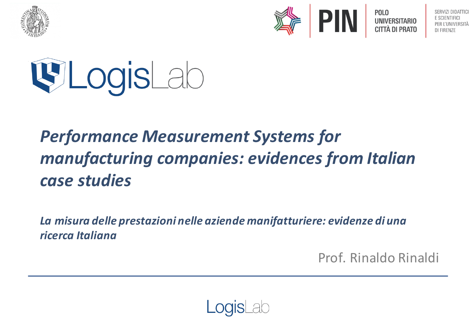



**POLO UNIVERSITARIO CITTÀ DI PRATO** 

PER L'UNIVERSITÀ DI FIRENZE



# **Performance Measurement Systems for** *manufacturing companies: evidences from Italian case studies*

La misura delle prestazioni nelle aziende manifatturiere: evidenze di una *ricerca Italiana*

Prof. Rinaldo Rinaldi

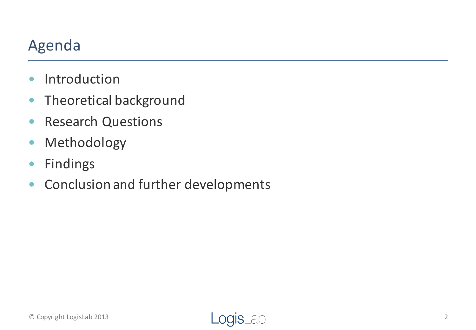### Agenda

- Introduction
- Theoretical background
- Research Questions
- Methodology
- Findings
- Conclusion and further developments

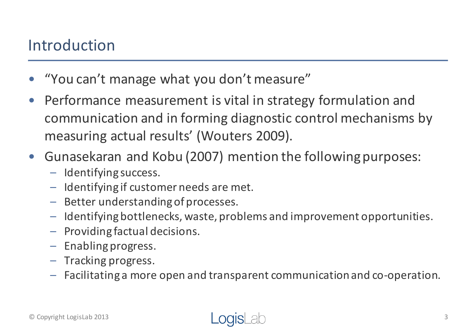### Introduction

- "You can't manage what you don't measure"
- Performance measurement is vital in strategy formulation and communication and in forming diagnostic control mechanisms by measuring actual results' (Wouters 2009).
- Gunasekaran and Kobu (2007) mention the following purposes:
	- $-$  Identifying success.
	- $-$  Identifying if customer needs are met.
	- $-$  Better understanding of processes.
	- Identifying bottlenecks, waste, problems and improvement opportunities.
	- $-$  Providing factual decisions.
	- $-$  Enabling progress.
	- Tracking progress.
	- $-$  Facilitating a more open and transparent communication and co-operation.

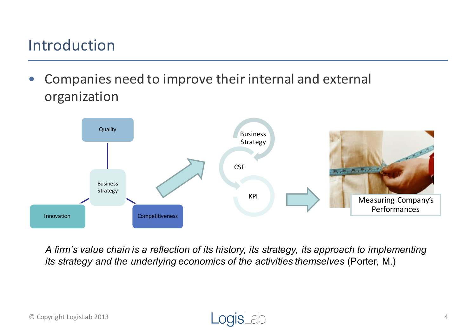### Introduction

• Companies need to improve their internal and external organization



*A firm's value chain is a reflection of its history, its strategy, its approach to implementing its strategy and the underlying economics of the activities themselves (Porter, M.)* 

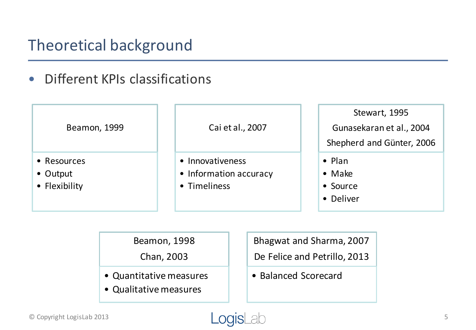• Different KPIs classifications

| Beamon, 1999                             | Cai et al., 2007                                           | Stewart, 1995<br>Gunasekaran et al., 2004<br>Shepherd and Günter, 2006 |  |  |
|------------------------------------------|------------------------------------------------------------|------------------------------------------------------------------------|--|--|
| • Resources<br>• Output<br>• Flexibility | • Innovativeness<br>• Information accuracy<br>• Timeliness | $\bullet$ Plan<br>$\bullet$ Make<br>• Source<br>• Deliver              |  |  |

Beamon, 1998

Chan, 2003

- Quantitative measures
- Qualitative measures

Bhagwat and Sharma, 2007 De Felice and Petrillo, 2013

• Balanced Scorecard

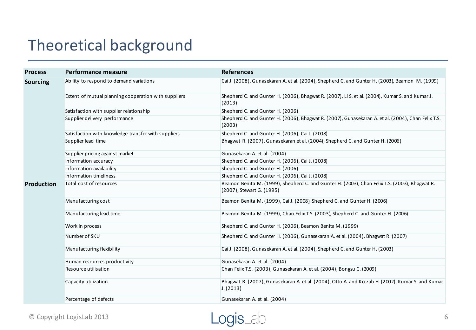| <b>Process</b>    | Performance measure                                  | <b>References</b>                                                                                                          |  |  |  |  |
|-------------------|------------------------------------------------------|----------------------------------------------------------------------------------------------------------------------------|--|--|--|--|
| <b>Sourcing</b>   | Ability to respond to demand variations              | Cai J. (2008), Gunasekaran A. et al. (2004), Shepherd C. and Gunter H. (2003), Beamon M. (1999)                            |  |  |  |  |
|                   | Extent of mutual planning cooperation with suppliers | Shepherd C. and Gunter H. (2006), Bhagwat R. (2007), Li S. et al. (2004), Kumar S. and Kumar J.<br>(2013)                  |  |  |  |  |
|                   | Satisfaction with supplier relationship              | Shepherd C. and Gunter H. (2006)                                                                                           |  |  |  |  |
|                   | Supplier delivery performance                        | Shepherd C. and Gunter H. (2006), Bhagwat R. (2007), Gunasekaran A. et al. (2004), Chan Felix T.S.<br>(2003)               |  |  |  |  |
|                   | Satisfaction with knowledge transfer with suppliers  | Shepherd C. and Gunter H. (2006), Cai J. (2008)                                                                            |  |  |  |  |
|                   | Supplier lead time                                   | Bhagwat R. (2007), Gunasekaran et al. (2004), Shepherd C. and Gunter H. (2006)                                             |  |  |  |  |
|                   | Supplier pricing against market                      | Gunasekaran A. et al. (2004)                                                                                               |  |  |  |  |
|                   | Information accuracy                                 | Shepherd C. and Gunter H. (2006), Cai J. (2008)                                                                            |  |  |  |  |
|                   | Information availability                             | Shepherd C. and Gunter H. (2006)                                                                                           |  |  |  |  |
|                   | Information timeliness                               | Shepherd C. and Gunter H. (2006), Cai J. (2008)                                                                            |  |  |  |  |
| <b>Production</b> | Total cost of resources                              | Beamon Benita M. (1999), Shepherd C. and Gunter H. (2003), Chan Felix T.S. (2003), Bhagwat R.<br>(2007), Stewart G. (1995) |  |  |  |  |
|                   | Manufacturing cost                                   | Beamon Benita M. (1999), Cai J. (2008), Shepherd C. and Gunter H. (2006)                                                   |  |  |  |  |
|                   | Manufacturing lead time                              | Beamon Benita M. (1999), Chan Felix T.S. (2003), Shepherd C. and Gunter H. (2006)                                          |  |  |  |  |
|                   | Work in process                                      | Shepherd C. and Gunter H. (2006), Beamon Benita M. (1999)                                                                  |  |  |  |  |
|                   | Number of SKU                                        | Shepherd C. and Gunter H. (2006), Gunasekaran A. et al. (2004), Bhagwat R. (2007)                                          |  |  |  |  |
|                   | Manufacturing flexibility                            | Cai J. (2008), Gunasekaran A. et al. (2004), Shepherd C. and Gunter H. (2003)                                              |  |  |  |  |
|                   | Human resources productivity                         | Gunasekaran A. et al. (2004)                                                                                               |  |  |  |  |
|                   | Resource utilisation                                 | Chan Felix T.S. (2003), Gunasekaran A. et al. (2004), Bongsu C. (2009)                                                     |  |  |  |  |
|                   | Capacity utilization                                 | Bhagwat R. (2007), Gunasekaran A. et al. (2004), Otto A. and Kotzab H. (2002), Kumar S. and Kumar<br>J. (2013)             |  |  |  |  |
|                   | Percentage of defects                                | Gunasekaran A. et al. (2004)                                                                                               |  |  |  |  |

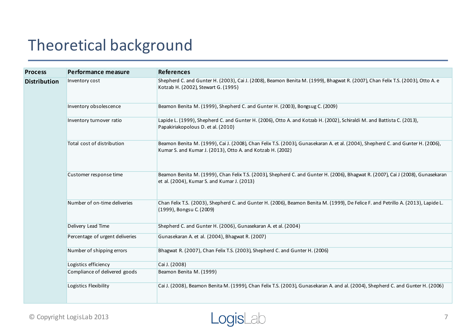| <b>Process</b>      | Performance measure             | <b>References</b>                                                                                                                                                                             |
|---------------------|---------------------------------|-----------------------------------------------------------------------------------------------------------------------------------------------------------------------------------------------|
| <b>Distribution</b> | Inventory cost                  | Shepherd C. and Gunter H. (2003), Cai J. (2008), Beamon Benita M. (1999), Bhagwat R. (2007), Chan Felix T.S. (2003), Otto A. e<br>Kotzab H. (2002), Stewart G. (1995)                         |
|                     | Inventory obsolescence          | Beamon Benita M. (1999), Shepherd C. and Gunter H. (2003), Bongsug C. (2009)                                                                                                                  |
|                     | Inventory turnover ratio        | Lapide L. (1999), Shepherd C. and Gunter H. (2006), Otto A. and Kotzab H. (2002), Schiraldi M. and Battista C. (2013),<br>Papakiriakopolous D. et al. (2010)                                  |
|                     | Total cost of distribution      | Beamon Benita M. (1999), Cai J. (2008), Chan Felix T.S. (2003), Gunasekaran A. et al. (2004), Shepherd C. and Gunter H. (2006),<br>Kumar S. and Kumar J. (2013), Otto A. and Kotzab H. (2002) |
|                     | Customer response time          | Beamon Benita M. (1999), Chan Felix T.S. (2003), Shepherd C. and Gunter H. (2006), Bhagwat R. (2007), Cai J (2008), Gunasekaran<br>et al. (2004), Kumar S. and Kumar J. (2013)                |
|                     | Number of on-time deliveries    | Chan Felix T.S. (2003), Shepherd C. and Gunter H. (2006), Beamon Benita M. (1999), De Felice F. and Petrillo A. (2013), Lapide L.<br>(1999), Bongsu C. (2009)                                 |
|                     | Delivery Lead Time              | Shepherd C. and Gunter H. (2006), Gunasekaran A. et al. (2004)                                                                                                                                |
|                     | Percentage of urgent deliveries | Gunasekaran A. et al. (2004), Bhagwat R. (2007)                                                                                                                                               |
|                     | Number of shipping errors       | Bhagwat R. (2007), Chan Felix T.S. (2003), Shepherd C. and Gunter H. (2006)                                                                                                                   |
|                     | Logistics efficiency            | Cai J. (2008)                                                                                                                                                                                 |
|                     | Compliance of delivered goods   | Beamon Benita M. (1999)                                                                                                                                                                       |
|                     | Logistics Flexibility           | Cai J. (2008), Beamon Benita M. (1999), Chan Felix T.S. (2003), Gunasekaran A. and al. (2004), Shepherd C. and Gunter H. (2006)                                                               |

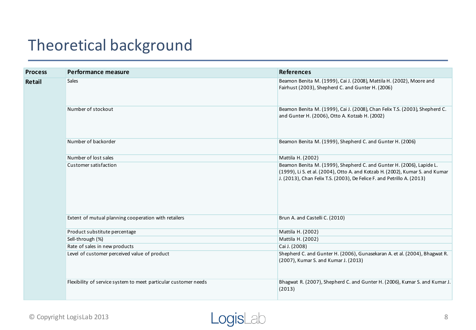| <b>Process</b> | Performance measure                                             | <b>References</b>                                                                                                                                                                                                               |  |  |
|----------------|-----------------------------------------------------------------|---------------------------------------------------------------------------------------------------------------------------------------------------------------------------------------------------------------------------------|--|--|
| Retail         | <b>Sales</b>                                                    | Beamon Benita M. (1999), Cai J. (2008), Mattila H. (2002), Moore and<br>Fairhust (2003), Shepherd C. and Gunter H. (2006)                                                                                                       |  |  |
|                | Number of stockout                                              | Beamon Benita M. (1999), Cai J. (2008), Chan Felix T.S. (2003), Shepherd C.<br>and Gunter H. (2006), Otto A. Kotzab H. (2002)                                                                                                   |  |  |
|                | Number of backorder                                             | Beamon Benita M. (1999), Shepherd C. and Gunter H. (2006)                                                                                                                                                                       |  |  |
|                | Number of lost sales                                            | Mattila H. (2002)                                                                                                                                                                                                               |  |  |
|                | Customer satisfaction                                           | Beamon Benita M. (1999), Shepherd C. and Gunter H. (2006), Lapide L.<br>(1999), Li S. et al. (2004), Otto A. and Kotzab H. (2002), Kumar S. and Kumar<br>J. (2013), Chan Felix T.S. (2003), De Felice F. and Petrillo A. (2013) |  |  |
|                | Extent of mutual planning cooperation with retailers            | Brun A. and Castelli C. (2010)                                                                                                                                                                                                  |  |  |
|                | Product substitute percentage                                   | Mattila H. (2002)                                                                                                                                                                                                               |  |  |
|                | Sell-through (%)                                                | Mattila H. (2002)                                                                                                                                                                                                               |  |  |
|                | Rate of sales in new products                                   | Cai J. (2008)                                                                                                                                                                                                                   |  |  |
|                | Level of customer perceived value of product                    | Shepherd C. and Gunter H. (2006), Gunasekaran A. et al. (2004), Bhagwat R.<br>(2007), Kumar S. and Kumar J. (2013)                                                                                                              |  |  |
|                | Flexibility of service system to meet particular customer needs | Bhagwat R. (2007), Shepherd C. and Gunter H. (2006), Kumar S. and Kumar J.<br>(2013)                                                                                                                                            |  |  |

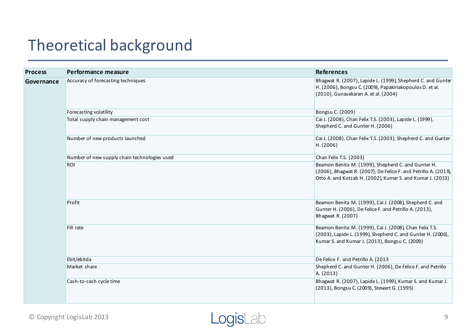| <b>Process</b> | Performance measure                          | <b>References</b>                                                                                                                                                                   |
|----------------|----------------------------------------------|-------------------------------------------------------------------------------------------------------------------------------------------------------------------------------------|
| Governance     | Accuracy of forecasting techniques           | Bhagwat R. (2007), Lapide L. (1999), Shepherd C. and Gunter<br>H. (2006), Bongsu C. (2009), Papakiriakopoulos D. et al.<br>(2010), Gunasekaran A. et al. (2004)                     |
|                | Forecasting volatility                       | Bongsu C. (2009)                                                                                                                                                                    |
|                | Total supply chain management cost           | Cai J. (2008), Chan Felix T.S. (2003), Lapide L. (1999),<br>Shepherd C. and Gunter H. (2006)                                                                                        |
|                | Number of new products launched              | Cai J. (2008), Chan Felix T.S. (2003), Shepherd C. and Gunter<br>H. (2006)                                                                                                          |
|                | Number of new supply chain technologies used | Chan Felix T.S. (2003)                                                                                                                                                              |
|                | <b>ROI</b>                                   | Beamon Benita M. (1999), Shepherd C. and Gunter H.<br>(2006), Bhagwat R. (2007), De Felice F. and Petrillo A. (2013),<br>Otto A. and Kotzab H. (2002), Kumar S. and Kumar J. (2013) |
|                | Profit                                       | Beamon Benita M. (1999), Cai J. (2008), Shepherd C. and<br>Gunter H. (2006), De Felice F. and Petrillo A. (2013),<br>Bhagwat R. (2007)                                              |
|                | Fill rate                                    | Beamon Benita M. (1999), Cai J. (2008), Chan Felix T.S.<br>(2003), Lapide L. (1999), Shepherd C. and Gunter H. (2006),<br>Kumar S. and Kumar J. (2013), Bongsu C. (2009)            |
|                | Ebit/ebitda                                  | De Felice F. and Petrillo A. (2013                                                                                                                                                  |
|                | Market share                                 | Shepherd C. and Gunter H. (2006), De Felice F. and Petrillo<br>A. (2013)                                                                                                            |
|                | Cash-to-cash cycle time                      | Bhagwat R. (2007), Lapide L. (1999), Kumar S. and Kumar J.<br>(2013), Bongsu C. (2009), Stewart G. (1995)                                                                           |

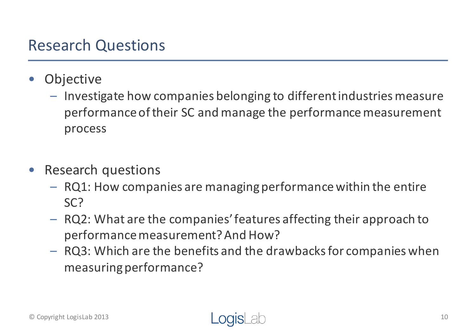### Research Questions

- **Objective** 
	- $-$  Investigate how companies belonging to different industries measure performance of their SC and manage the performance measurement process
- Research questions
	- $-$  RQ1: How companies are managing performance within the entire SC?
	- $-$  RQ2: What are the companies' features affecting their approach to performance measurement? And How?
	- $-$  RQ3: Which are the benefits and the drawbacks for companies when measuring performance?

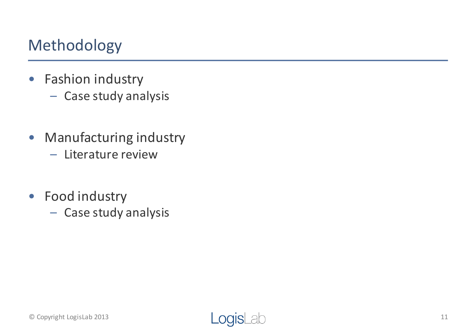### Methodology

- Fashion industry
	- Case study analysis
- Manufacturing industry
	- $-$  Literature review
- Food industry
	- Case study analysis

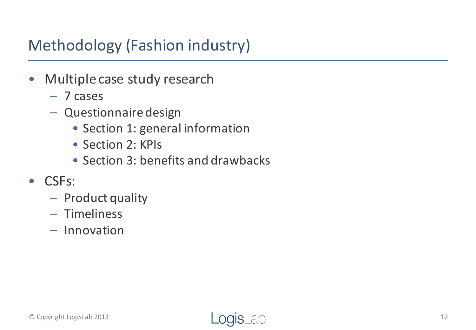# Methodology (Fashion industry)

- Multiple case study research
	- 7 cases
	- Questionnaire design
		- Section 1: general information
		- Section 2: KPIs
		- Section 3: benefits and drawbacks
- CSFs:
	- Product quality
	- Timeliness
	- Innovation

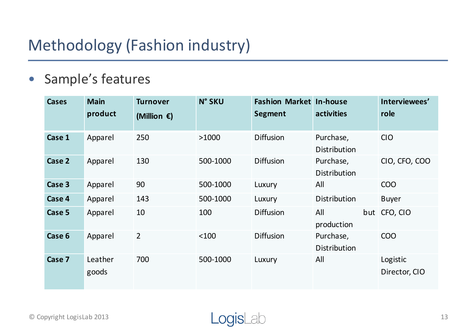# Methodology (Fashion industry)

#### • Sample's features

| <b>Cases</b> | <b>Main</b><br>product | <b>Turnover</b><br>(Million $\epsilon$ ) | <b>N° SKU</b> | <b>Fashion Market In-house</b><br>Segment | activities                       | Interviewees'<br>role     |
|--------------|------------------------|------------------------------------------|---------------|-------------------------------------------|----------------------------------|---------------------------|
| Case 1       | Apparel                | 250                                      | >1000         | <b>Diffusion</b>                          | Purchase,<br><b>Distribution</b> | <b>CIO</b>                |
| Case 2       | Apparel                | 130                                      | 500-1000      | <b>Diffusion</b>                          | Purchase,<br><b>Distribution</b> | CIO, CFO, COO             |
| Case 3       | Apparel                | 90                                       | 500-1000      | Luxury                                    | All                              | <b>COO</b>                |
| Case 4       | Apparel                | 143                                      | 500-1000      | Luxury                                    | <b>Distribution</b>              | <b>Buyer</b>              |
| Case 5       | Apparel                | 10                                       | 100           | <b>Diffusion</b>                          | All<br>production                | but CFO, CIO              |
| Case 6       | Apparel                | $\overline{2}$                           | $<$ 100       | <b>Diffusion</b>                          | Purchase,<br><b>Distribution</b> | <b>COO</b>                |
| Case 7       | Leather<br>goods       | 700                                      | 500-1000      | Luxury                                    | All                              | Logistic<br>Director, CIO |

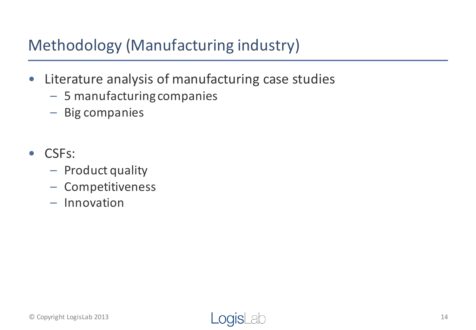# Methodology (Manufacturing industry)

- Literature analysis of manufacturing case studies
	- 5 manufacturing companies
	- Big companies
- CSFs:
	- Product quality
	- Competitiveness
	- Innovation

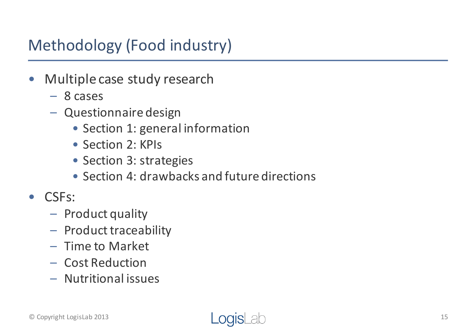# Methodology (Food industry)

- Multiple case study research
	- 8 cases
	- Questionnaire design
		- Section 1: general information
		- Section 2: KPIs
		- Section 3: strategies
		- Section 4: drawbacks and future directions
- CSFs:
	- Product quality
	- $-$  Product traceability
	- Time to Market
	- Cost Reduction
	- Nutritional issues

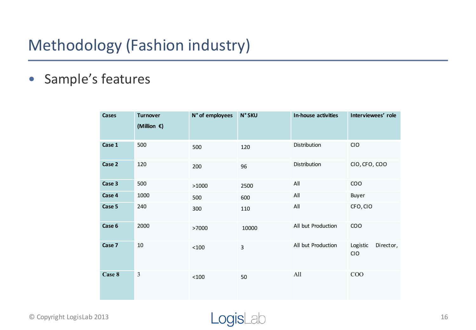### Methodology (Fashion industry)

#### • Sample's features

| <b>Cases</b> | <b>Turnover</b><br>(Million $\epsilon$ ) | N° of employees | <b>N° SKU</b>       | In-house activities | Interviewees' role           |  |
|--------------|------------------------------------------|-----------------|---------------------|---------------------|------------------------------|--|
| Case 1       | 500                                      | 500             | Distribution<br>120 |                     | CIO                          |  |
| Case 2       | 120                                      | 200             | 96                  | Distribution        | CIO, CFO, COO                |  |
| Case 3       | 500                                      | >1000           | 2500                | All                 | COO                          |  |
| Case 4       | 1000                                     | 500             | 600                 | All                 | Buyer                        |  |
| Case 5       | 240                                      | 300             | 110                 | All                 | CFO, CIO                     |  |
| Case 6       | 2000                                     | >7000           | 10000               | All but Production  | COO                          |  |
| Case 7       | $10\,$                                   | $<$ 100 $\,$    | $\overline{3}$      | All but Production  | Director,<br>Logistic<br>CIO |  |
| Case 8       | $\mathfrak{Z}$                           | $<$ 100 $\,$    | 50                  | All                 | COO                          |  |

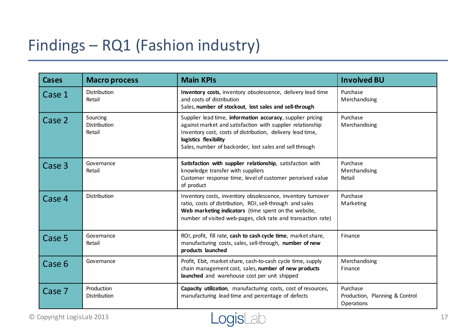# Findings - RQ1 (Fashion industry)

| <b>Cases</b> | <b>Macro process</b>               | <b>Main KPIs</b>                                                                                                                                                                                                                                                           | <b>Involved BU</b>                                       |
|--------------|------------------------------------|----------------------------------------------------------------------------------------------------------------------------------------------------------------------------------------------------------------------------------------------------------------------------|----------------------------------------------------------|
| Case 1       | Distribution<br>Retail             | Inventory costs, inventory obsolescence, delivery lead time<br>and costs of distribution<br>Sales, number of stockout, lost sales and sell-through                                                                                                                         | Purchase<br>Merchandising                                |
| Case 2       | Sourcing<br>Distribution<br>Retail | Supplier lead time, information accuracy, supplier pricing<br>against market and satisfaction with supplier relationship<br>Inventory cost, costs of distribution, delivery lead time,<br>logistics flexibility<br>Sales, number of backorder, lost sales and sell through | Purchase<br>Merchandising                                |
| Case 3       | Governance<br>Retail               | Satisfaction with supplier relationship, satisfaction with<br>knowledge transfer with suppliers<br>Customer response time, level of customer perceived value<br>of product                                                                                                 | Purchase<br>Merchandising<br>Retail                      |
| Case 4       | Distribution                       | Inventory costs, inventory obsolescence, inventory turnover<br>ratio, costs of distribution, ROI, sell-through and sales<br>Web marketing indicators (time spent on the website,<br>number of visited web-pages, click rate and transaction rate)                          | Purchase<br>Marketing                                    |
| Case 5       | Governance<br>Retail               | ROI, profit, fill rate, cash to cash cycle time, market share,<br>manufacturing costs, sales, sell-through, number of new<br>products launched                                                                                                                             | Finance                                                  |
| Case 6       | Governance                         | Profit, Ebit, market share, cash-to-cash cycle time, supply<br>chain management cost, sales, number of new products<br>launched and warehouse cost per unit shipped                                                                                                        | Merchandising<br>Finance                                 |
| Case 7       | Production<br>Distribution         | Capacity utilization, manufacturing costs, cost of resources,<br>manufacturing lead time and percentage of defects                                                                                                                                                         | Purchase<br>Production, Planning & Control<br>Operations |

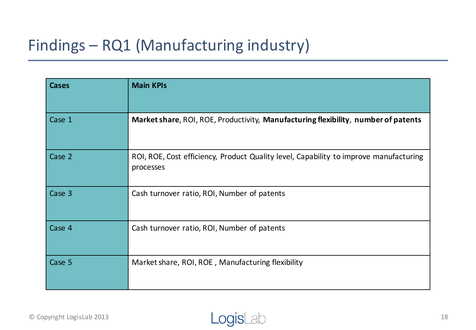# Findings - RQ1 (Manufacturing industry)

| <b>Cases</b> | <b>Main KPIs</b>                                                                                   |
|--------------|----------------------------------------------------------------------------------------------------|
| Case 1       | Market share, ROI, ROE, Productivity, Manufacturing flexibility, number of patents                 |
| Case 2       | ROI, ROE, Cost efficiency, Product Quality level, Capability to improve manufacturing<br>processes |
| Case 3       | Cash turnover ratio, ROI, Number of patents                                                        |
| Case 4       | Cash turnover ratio, ROI, Number of patents                                                        |
| Case 5       | Market share, ROI, ROE, Manufacturing flexibility                                                  |

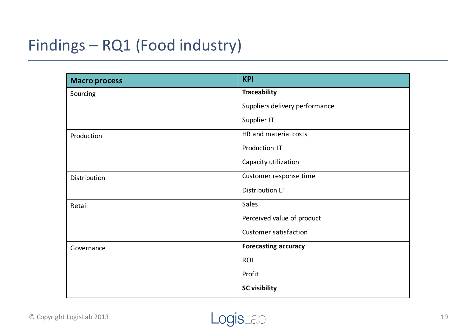# Findings - RQ1 (Food industry)

| <b>Macro process</b> | <b>KPI</b>                     |
|----------------------|--------------------------------|
| Sourcing             | <b>Traceability</b>            |
|                      | Suppliers delivery performance |
|                      | Supplier LT                    |
| Production           | HR and material costs          |
|                      | Production LT                  |
|                      | Capacity utilization           |
| Distribution         | Customer response time         |
|                      | Distribution LT                |
| Retail               | Sales                          |
|                      | Perceived value of product     |
|                      | <b>Customer satisfaction</b>   |
| Governance           | <b>Forecasting accuracy</b>    |
|                      | ROI                            |
|                      | Profit                         |
|                      | <b>SC visibility</b>           |

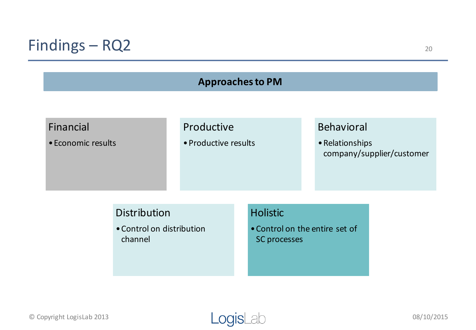### Findings - RQ2

| <b>Approaches to PM</b> |                                                             |                      |  |                                                                          |  |                   |  |  |
|-------------------------|-------------------------------------------------------------|----------------------|--|--------------------------------------------------------------------------|--|-------------------|--|--|
|                         |                                                             |                      |  |                                                                          |  |                   |  |  |
| Financial               |                                                             | Productive           |  |                                                                          |  | <b>Behavioral</b> |  |  |
| • Economic results      |                                                             | • Productive results |  | • Relationships<br>company/supplier/customer                             |  |                   |  |  |
|                         | <b>Distribution</b><br>• Control on distribution<br>channel |                      |  | <b>Holistic</b><br>. Control on the entire set of<br><b>SC</b> processes |  |                   |  |  |

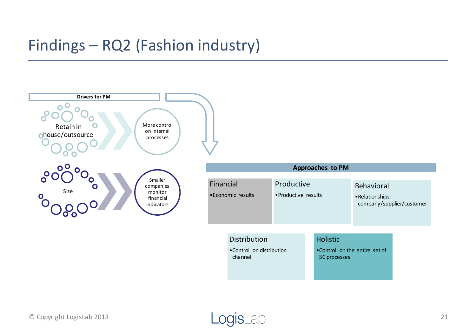### Findings - RQ2 (Fashion industry)



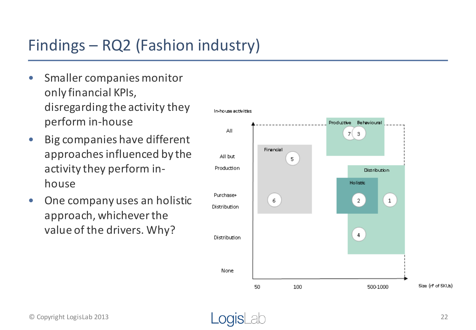# Findings – RQ2 (Fashion industry)

- Smaller companies monitor only financial KPIs, disregarding the activity they perform in-house
- Big companies have different approaches influenced by the activity they perform inhouse
- One company uses an holistic approach, whichever the value of the drivers. Why?

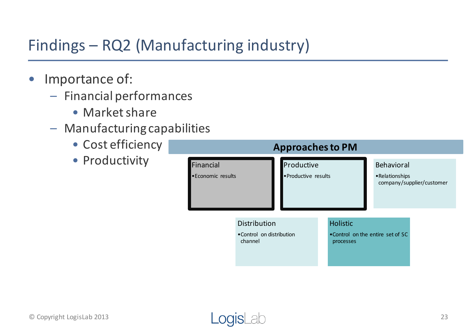# Findings - RQ2 (Manufacturing industry)

- Importance of:
	- Financial performances
		- Market share
	- $-$  Manufacturing capabilities
		- Cost efficiency
		- Productivity

| <b>Approaches to PM</b>         |                                                      |                                           |  |                                                                   |  |  |  |
|---------------------------------|------------------------------------------------------|-------------------------------------------|--|-------------------------------------------------------------------|--|--|--|
| Financial<br>• Economic results |                                                      | Productive<br><b>• Productive results</b> |  | <b>Behavioral</b><br>• Relationships<br>company/supplier/customer |  |  |  |
|                                 | Distribution<br>• Control on distribution<br>channel |                                           |  | <b>Holistic</b><br>•Control on the entire set of SC<br>processes  |  |  |  |

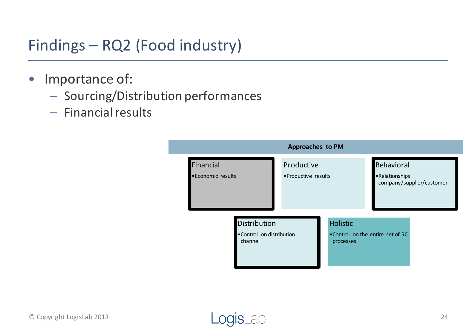# Findings - RQ2 (Food industry)

- Importance of:
	- Sourcing/Distribution performances
	- Financial results



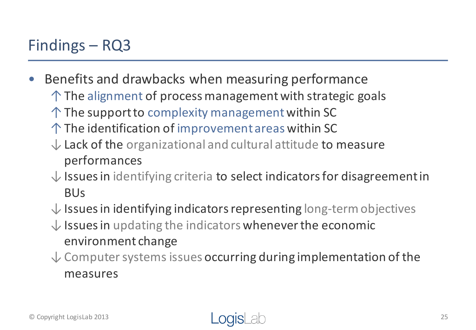### Findings  $-$  RQ3

- Benefits and drawbacks when measuring performance
	- $\uparrow$  The alignment of process management with strategic goals
	- $\uparrow$  The support to complexity management within SC
	- $\uparrow$  The identification of improvement areas within SC
	- $\downarrow$  Lack of the organizational and cultural attitude to measure performances
	- $\downarrow$  Issues in identifying criteria to select indicators for disagreement in BUs
	- $\downarrow$  Issues in identifying indicators representing long-term objectives
	- $\downarrow$  Issues in updating the indicators whenever the economic environment change
	- $\downarrow$  Computer systems issues occurring during implementation of the measures

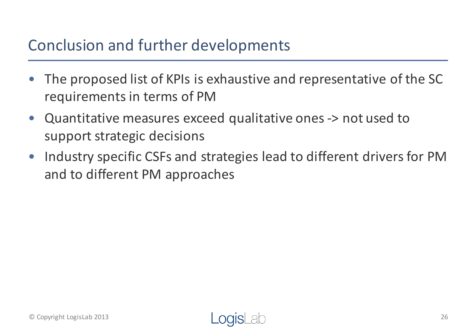### Conclusion and further developments

- The proposed list of KPIs is exhaustive and representative of the SC requirements in terms of PM
- Quantitative measures exceed qualitative ones -> not used to support strategic decisions
- Industry specific CSFs and strategies lead to different drivers for PM and to different PM approaches

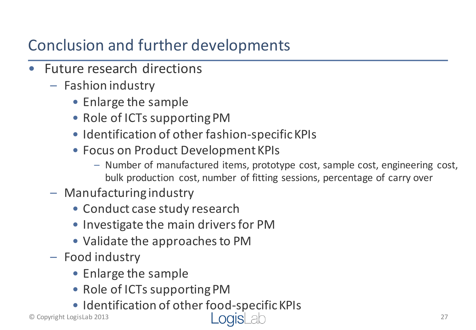# Conclusion and further developments

- **Future research directions** 
	- $-$  Fashion industry
		- Enlarge the sample
		- Role of ICTs supporting PM
		- Identification of other fashion-specific KPIs
		- Focus on Product Development KPIs
			- Number of manufactured items, prototype cost, sample cost, engineering cost, bulk production cost, number of fitting sessions, percentage of carry over
	- $-$  Manufacturing industry
		- Conduct case study research
		- Investigate the main drivers for PM
		- Validate the approaches to PM
	- Food industry
		- Enlarge the sample
		- Role of ICTs supporting PM
		- Identification of other food-specific KPIs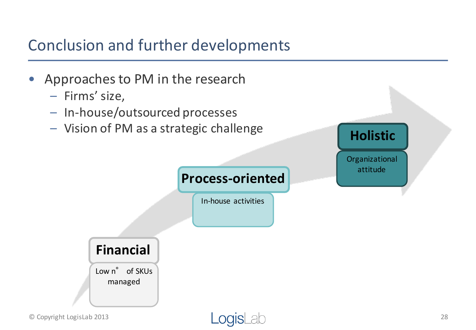### Conclusion and further developments